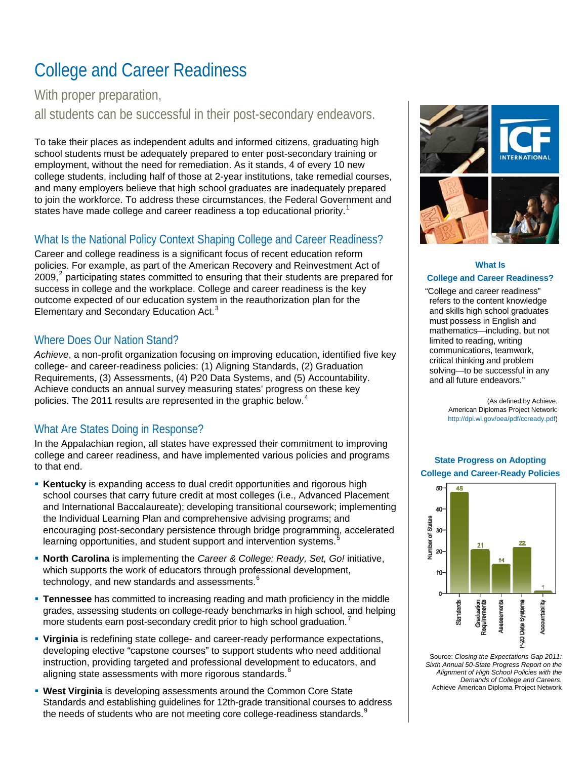# College and Career Readiness

With proper preparation,

all students can be successful in their post-secondary endeavors.

To take their places as independent adults and informed citizens, graduating high school students must be adequately prepared to enter post-secondary training or employment, without the need for remediation. As it stands, 4 of every 10 new college students, including half of those at 2-year institutions, take remedial courses, and many employers believe that high school graduates are inadequately prepared to join the workforce. To address these circumstances, the Federal Government and states have made college and career readiness a top educational priority.<sup>[1](#page-1-0)</sup>

#### What Is the National Policy Context Shaping College and Career Readiness?

Career and college readiness is a significant focus of recent education reform policies. For example, as part of the American Recovery and Reinvestment Act of [2](#page-1-1)009,<sup>2</sup> participating states committed to ensuring that their students are prepared for success in college and the workplace. College and career readiness is the key outcome expected of our education system in the reauthorization plan for the Elementary and Secondary Education Act.<sup>[3](#page-1-2)</sup>

#### Where Does Our Nation Stand?

*Achieve*, a non-profit organization focusing on improving education, identified five key college- and career-readiness policies: (1) Aligning Standards, (2) Graduation Requirements, (3) Assessments, (4) P20 Data Systems, and (5) Accountability. Achieve conducts an annual survey measuring states' progress on these key policies. The 2011 results are represented in the graphic below.<sup>[4](#page-1-3)</sup>

#### What Are States Doing in Response?

In the Appalachian region, all states have expressed their commitment to improving college and career readiness, and have implemented various policies and programs to that end.

- **Kentucky** is expanding access to dual credit opportunities and rigorous high school courses that carry future credit at most colleges (i.e., Advanced Placement and International Baccalaureate); developing transitional coursework; implementing the Individual Learning Plan and comprehensive advising programs; and encouraging post-secondary persistence through bridge programming, accelerated learning opportunities, and student support and intervention systems.
- **North Carolina** is implementing the *Career & College: Ready, Set, Go!* initiative, which supports the work of educators through professional development, technology, and new standards and assessments. $6$
- **Tennessee** has committed to increasing reading and math proficiency in the middle grades, assessing students on college-ready benchmarks in high school, and helping more students earn post-secondary credit prior to high school graduation.<sup>[7](#page-1-6)</sup>
- **Virginia** is redefining state college- and career-ready performance expectations, developing elective "capstone courses" to support students who need additional instruction, providing targeted and professional development to educators, and aligning state assessments with more rigorous standards.<sup>[8](#page-1-7)</sup>
- **West Virginia** is developing assessments around the Common Core State Standards and establishing guidelines for 12th-grade transitional courses to address the needs of students who are not meeting core college-readiness standards.<sup>[9](#page-1-8)</sup>



#### **What Is College and Career Readiness?**

"College and career readiness" refers to the content knowledge and skills high school graduates must possess in English and mathematics—including, but not limited to reading, writing communications, teamwork, critical thinking and problem solving—to be successful in any and all future endeavors."

> (As defined by Achieve, American Diplomas Project Network: http://dpi.wi.gov/oea/pdf/ccready.pdf)

#### **State Progress on Adopting College and Career-Ready Policies**



Source: *Closing the Expectations Gap 2011: Sixth Annual 50-State Progress Report on the Alignment of High School Policies with the Demands of College and Careers.* Achieve American Diploma Project Network